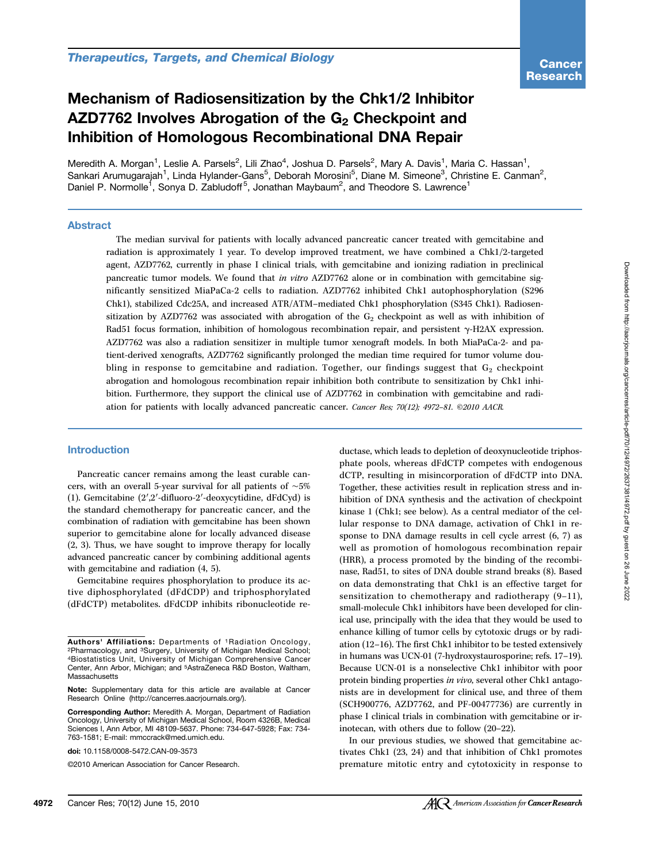# Mechanism of Radiosensitization by the Chk1/2 Inhibitor AZD7762 Involves Abrogation of the  $G<sub>2</sub>$  Checkpoint and Inhibition of Homologous Recombinational DNA Repair

Meredith A. Morgan<sup>1</sup>, Leslie A. Parsels<sup>2</sup>, Lili Zhao<sup>4</sup>, Joshua D. Parsels<sup>2</sup>, Mary A. Davis<sup>1</sup>, Maria C. Hassan<sup>1</sup>, Sankari Arumugarajah<sup>1</sup>, Linda Hylander-Gans<sup>5</sup>, Deborah Morosini<sup>5</sup>, Diane M. Simeone<sup>3</sup>, Christine E. Canman<sup>2</sup>, Daniel P. Normolle<sup>1</sup>, Sonya D. Zabludoff<sup>5</sup>, Jonathan Maybaum<sup>2</sup>, and Theodore S. Lawrence<sup>1</sup>

### Abstract

The median survival for patients with locally advanced pancreatic cancer treated with gemcitabine and radiation is approximately 1 year. To develop improved treatment, we have combined a Chk1/2-targeted agent, AZD7762, currently in phase I clinical trials, with gemcitabine and ionizing radiation in preclinical pancreatic tumor models. We found that in vitro AZD7762 alone or in combination with gemcitabine significantly sensitized MiaPaCa-2 cells to radiation. AZD7762 inhibited Chk1 autophosphorylation (S296 Chk1), stabilized Cdc25A, and increased ATR/ATM–mediated Chk1 phosphorylation (S345 Chk1). Radiosensitization by AZD7762 was associated with abrogation of the  $G<sub>2</sub>$  checkpoint as well as with inhibition of Rad51 focus formation, inhibition of homologous recombination repair, and persistent γ-H2AX expression. AZD7762 was also a radiation sensitizer in multiple tumor xenograft models. In both MiaPaCa-2- and patient-derived xenografts, AZD7762 significantly prolonged the median time required for tumor volume doubling in response to gemcitabine and radiation. Together, our findings suggest that  $G_2$  checkpoint abrogation and homologous recombination repair inhibition both contribute to sensitization by Chk1 inhibition. Furthermore, they support the clinical use of AZD7762 in combination with gemcitabine and radiation for patients with locally advanced pancreatic cancer. Cancer Res; 70(12); 4972–81. ©2010 AACR.

## Introduction

Pancreatic cancer remains among the least curable cancers, with an overall 5-year survival for all patients of ∼5% (1). Gemcitabine (2′,2′-difluoro-2′-deoxycytidine, dFdCyd) is the standard chemotherapy for pancreatic cancer, and the combination of radiation with gemcitabine has been shown superior to gemcitabine alone for locally advanced disease (2, 3). Thus, we have sought to improve therapy for locally advanced pancreatic cancer by combining additional agents with gemcitabine and radiation (4, 5).

Gemcitabine requires phosphorylation to produce its active diphosphorylated (dFdCDP) and triphosphorylated (dFdCTP) metabolites. dFdCDP inhibits ribonucleotide re-

ductase, which leads to depletion of deoxynucleotide triphosphate pools, whereas dFdCTP competes with endogenous dCTP, resulting in misincorporation of dFdCTP into DNA. Together, these activities result in replication stress and inhibition of DNA synthesis and the activation of checkpoint kinase 1 (Chk1; see below). As a central mediator of the cellular response to DNA damage, activation of Chk1 in response to DNA damage results in cell cycle arrest (6, 7) as well as promotion of homologous recombination repair (HRR), a process promoted by the binding of the recombinase, Rad51, to sites of DNA double strand breaks (8). Based on data demonstrating that Chk1 is an effective target for sensitization to chemotherapy and radiotherapy (9–11), small-molecule Chk1 inhibitors have been developed for clinical use, principally with the idea that they would be used to enhance killing of tumor cells by cytotoxic drugs or by radiation (12–16). The first Chk1 inhibitor to be tested extensively in humans was UCN-01 (7-hydroxystaurosporine; refs. 17–19). Because UCN-01 is a nonselective Chk1 inhibitor with poor protein binding properties in vivo, several other Chk1 antagonists are in development for clinical use, and three of them (SCH900776, AZD7762, and PF-00477736) are currently in phase I clinical trials in combination with gemcitabine or irinotecan, with others due to follow (20–22).

In our previous studies, we showed that gemcitabine activates Chk1 (23, 24) and that inhibition of Chk1 promotes premature mitotic entry and cytotoxicity in response to

Authors' Affiliations: Departments of 1Radiation Oncology, <sup>2</sup>Pharmacology, and <sup>3</sup>Surgery, University of Michigan Medical School;<br><sup>4</sup>Biostatistics Unit, University of Michigan Comprehensive Cancer Center, Ann Arbor, Michigan; and 5AstraZeneca R&D Boston, Waltham, **Massachusetts** 

Note: Supplementary data for this article are available at Cancer Research Online (http://cancerres.aacrjournals.org/).

Corresponding Author: Meredith A. Morgan, Department of Radiation Oncology, University of Michigan Medical School, Room 4326B, Medical Sciences I, Ann Arbor, MI 48109-5637. Phone: 734-647-5928; Fax: 734- 763-1581; E-mail: mmccrack@med.umich.edu.

doi: 10.1158/0008-5472.CAN-09-3573

<sup>©2010</sup> American Association for Cancer Research.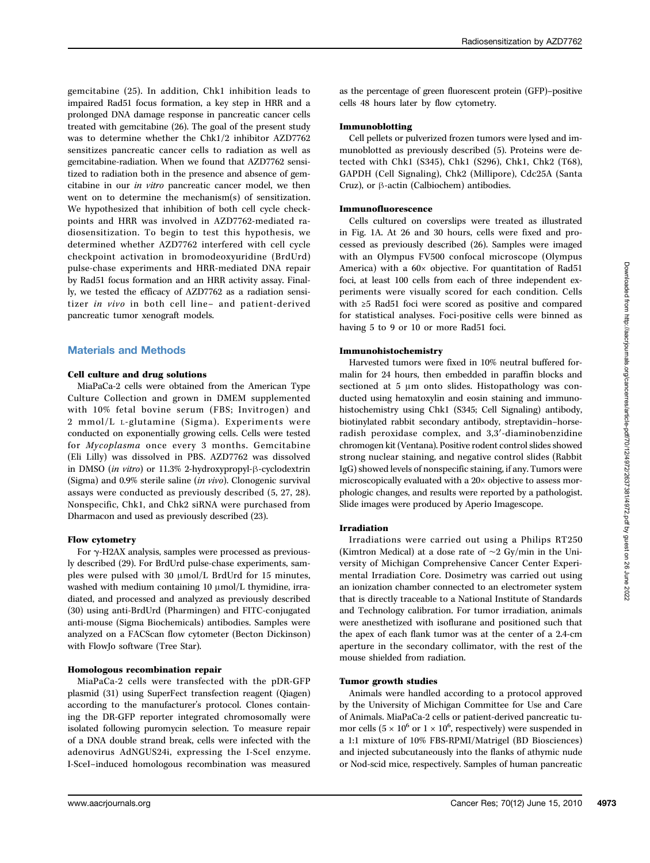gemcitabine (25). In addition, Chk1 inhibition leads to impaired Rad51 focus formation, a key step in HRR and a prolonged DNA damage response in pancreatic cancer cells treated with gemcitabine (26). The goal of the present study was to determine whether the Chk1/2 inhibitor AZD7762 sensitizes pancreatic cancer cells to radiation as well as gemcitabine-radiation. When we found that AZD7762 sensitized to radiation both in the presence and absence of gemcitabine in our in vitro pancreatic cancer model, we then went on to determine the mechanism(s) of sensitization. We hypothesized that inhibition of both cell cycle checkpoints and HRR was involved in AZD7762-mediated radiosensitization. To begin to test this hypothesis, we determined whether AZD7762 interfered with cell cycle checkpoint activation in bromodeoxyuridine (BrdUrd) pulse-chase experiments and HRR-mediated DNA repair by Rad51 focus formation and an HRR activity assay. Finally, we tested the efficacy of AZD7762 as a radiation sensitizer in vivo in both cell line– and patient-derived pancreatic tumor xenograft models.

## Materials and Methods

### Cell culture and drug solutions

MiaPaCa-2 cells were obtained from the American Type Culture Collection and grown in DMEM supplemented with 10% fetal bovine serum (FBS; Invitrogen) and 2 mmol/L L-glutamine (Sigma). Experiments were conducted on exponentially growing cells. Cells were tested for Mycoplasma once every 3 months. Gemcitabine (Eli Lilly) was dissolved in PBS. AZD7762 was dissolved in DMSO (in vitro) or 11.3% 2-hydroxypropyl-β-cyclodextrin (Sigma) and 0.9% sterile saline (in vivo). Clonogenic survival assays were conducted as previously described (5, 27, 28). Nonspecific, Chk1, and Chk2 siRNA were purchased from Dharmacon and used as previously described (23).

#### Flow cytometry

For γ-H2AX analysis, samples were processed as previously described (29). For BrdUrd pulse-chase experiments, samples were pulsed with 30 μmol/L BrdUrd for 15 minutes, washed with medium containing 10 μmol/L thymidine, irradiated, and processed and analyzed as previously described (30) using anti-BrdUrd (Pharmingen) and FITC-conjugated anti-mouse (Sigma Biochemicals) antibodies. Samples were analyzed on a FACScan flow cytometer (Becton Dickinson) with FlowJo software (Tree Star).

## Homologous recombination repair

MiaPaCa-2 cells were transfected with the pDR-GFP plasmid (31) using SuperFect transfection reagent (Qiagen) according to the manufacturer's protocol. Clones containing the DR-GFP reporter integrated chromosomally were isolated following puromycin selection. To measure repair of a DNA double strand break, cells were infected with the adenovirus AdNGUS24i, expressing the I-SceI enzyme. I-SceI–induced homologous recombination was measured

as the percentage of green fluorescent protein (GFP)–positive cells 48 hours later by flow cytometry.

## Immunoblotting

Cell pellets or pulverized frozen tumors were lysed and immunoblotted as previously described (5). Proteins were detected with Chk1 (S345), Chk1 (S296), Chk1, Chk2 (T68), GAPDH (Cell Signaling), Chk2 (Millipore), Cdc25A (Santa Cruz), or β-actin (Calbiochem) antibodies.

### Immunofluorescence

Cells cultured on coverslips were treated as illustrated in Fig. 1A. At 26 and 30 hours, cells were fixed and processed as previously described (26). Samples were imaged with an Olympus FV500 confocal microscope (Olympus America) with a 60× objective. For quantitation of Rad51 foci, at least 100 cells from each of three independent experiments were visually scored for each condition. Cells with ≥5 Rad51 foci were scored as positive and compared for statistical analyses. Foci-positive cells were binned as having 5 to 9 or 10 or more Rad51 foci.

### Immunohistochemistry

Harvested tumors were fixed in 10% neutral buffered formalin for 24 hours, then embedded in paraffin blocks and sectioned at 5 μm onto slides. Histopathology was conducted using hematoxylin and eosin staining and immunohistochemistry using Chk1 (S345; Cell Signaling) antibody, biotinylated rabbit secondary antibody, streptavidin–horseradish peroxidase complex, and 3,3′-diaminobenzidine chromogen kit (Ventana). Positive rodent control slides showed strong nuclear staining, and negative control slides (Rabbit IgG) showed levels of nonspecific staining, if any. Tumors were microscopically evaluated with a 20× objective to assess morphologic changes, and results were reported by a pathologist. Slide images were produced by Aperio Imagescope.

## Irradiation

Irradiations were carried out using a Philips RT250 (Kimtron Medical) at a dose rate of ∼2 Gy/min in the University of Michigan Comprehensive Cancer Center Experimental Irradiation Core. Dosimetry was carried out using an ionization chamber connected to an electrometer system that is directly traceable to a National Institute of Standards and Technology calibration. For tumor irradiation, animals were anesthetized with isoflurane and positioned such that the apex of each flank tumor was at the center of a 2.4-cm aperture in the secondary collimator, with the rest of the mouse shielded from radiation.

## Tumor growth studies

Animals were handled according to a protocol approved by the University of Michigan Committee for Use and Care of Animals. MiaPaCa-2 cells or patient-derived pancreatic tumor cells ( $5 \times 10^6$  or  $1 \times 10^6$ , respectively) were suspended in a 1:1 mixture of 10% FBS-RPMI/Matrigel (BD Biosciences) and injected subcutaneously into the flanks of athymic nude or Nod-scid mice, respectively. Samples of human pancreatic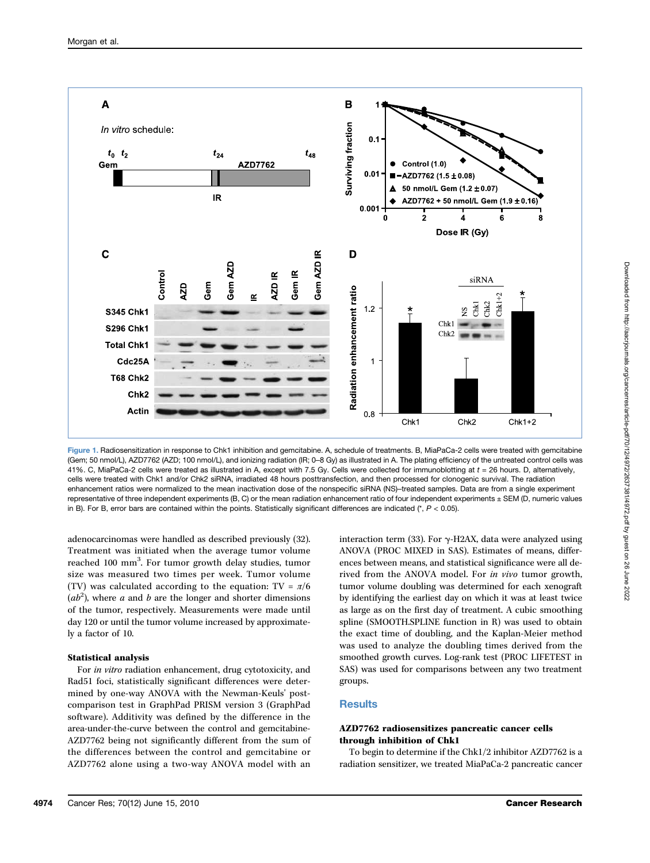

Figure 1. Radiosensitization in response to Chk1 inhibition and gemcitabine. A, schedule of treatments. B, MiaPaCa-2 cells were treated with gemcitabine (Gem; 50 nmol/L), AZD7762 (AZD; 100 nmol/L), and ionizing radiation (IR; 0–8 Gy) as illustrated in A. The plating efficiency of the untreated control cells was 41%. C, MiaPaCa-2 cells were treated as illustrated in A, except with 7.5 Gy. Cells were collected for immunoblotting at  $t = 26$  hours. D, alternatively, cells were treated with Chk1 and/or Chk2 siRNA, irradiated 48 hours posttransfection, and then processed for clonogenic survival. The radiation enhancement ratios were normalized to the mean inactivation dose of the nonspecific siRNA (NS)–treated samples. Data are from a single experiment representative of three independent experiments (B, C) or the mean radiation enhancement ratio of four independent experiments  $\pm$  SEM (D, numeric values in B). For B, error bars are contained within the points. Statistically significant differences are indicated  $(*, P < 0.05)$ .

adenocarcinomas were handled as described previously (32). Treatment was initiated when the average tumor volume reached 100 mm<sup>3</sup> . For tumor growth delay studies, tumor size was measured two times per week. Tumor volume (TV) was calculated according to the equation: TV =  $\pi/6$  $(ab^2)$ , where a and b are the longer and shorter dimensions of the tumor, respectively. Measurements were made until day 120 or until the tumor volume increased by approximately a factor of 10.

## Statistical analysis

For in vitro radiation enhancement, drug cytotoxicity, and Rad51 foci, statistically significant differences were determined by one-way ANOVA with the Newman-Keuls' postcomparison test in GraphPad PRISM version 3 (GraphPad software). Additivity was defined by the difference in the area-under-the-curve between the control and gemcitabine-AZD7762 being not significantly different from the sum of the differences between the control and gemcitabine or AZD7762 alone using a two-way ANOVA model with an

interaction term (33). For  $γ$ -H2AX, data were analyzed using ANOVA (PROC MIXED in SAS). Estimates of means, differences between means, and statistical significance were all derived from the ANOVA model. For in vivo tumor growth, tumor volume doubling was determined for each xenograft by identifying the earliest day on which it was at least twice as large as on the first day of treatment. A cubic smoothing spline (SMOOTH.SPLINE function in R) was used to obtain the exact time of doubling, and the Kaplan-Meier method was used to analyze the doubling times derived from the smoothed growth curves. Log-rank test (PROC LIFETEST in SAS) was used for comparisons between any two treatment groups.

## **Results**

## AZD7762 radiosensitizes pancreatic cancer cells through inhibition of Chk1

To begin to determine if the Chk1/2 inhibitor AZD7762 is a radiation sensitizer, we treated MiaPaCa-2 pancreatic cancer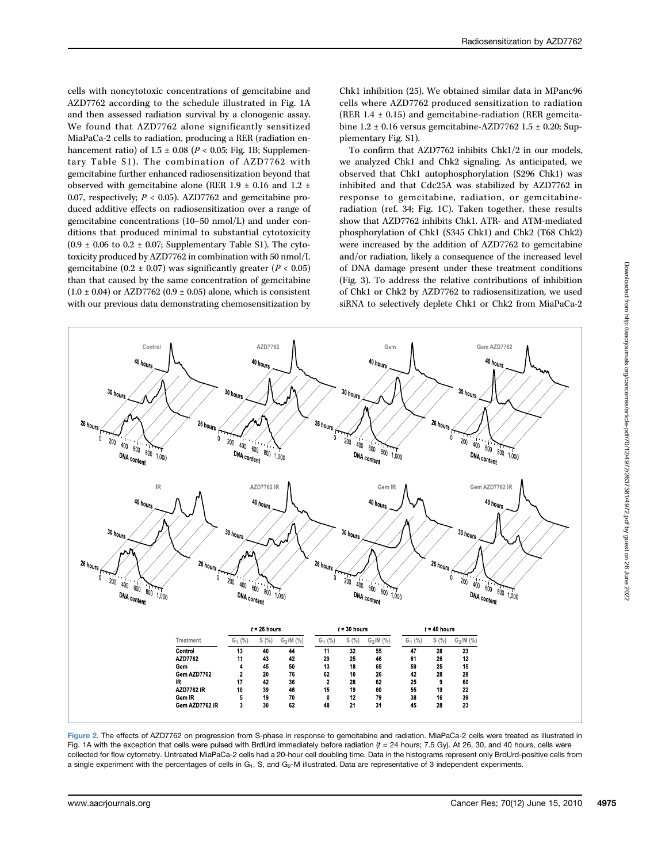cells with noncytotoxic concentrations of gemcitabine and AZD7762 according to the schedule illustrated in Fig. 1A and then assessed radiation survival by a clonogenic assay. We found that AZD7762 alone significantly sensitized MiaPaCa-2 cells to radiation, producing a RER (radiation enhancement ratio) of  $1.5 \pm 0.08$  ( $P < 0.05$ ; Fig. 1B; Supplementary Table S1). The combination of AZD7762 with gemcitabine further enhanced radiosensitization beyond that observed with gemcitabine alone (RER 1.9  $\pm$  0.16 and 1.2  $\pm$ 0.07, respectively;  $P < 0.05$ ). AZD7762 and gemcitabine produced additive effects on radiosensitization over a range of gemcitabine concentrations (10–50 nmol/L) and under conditions that produced minimal to substantial cytotoxicity  $(0.9 \pm 0.06 \text{ to } 0.2 \pm 0.07;$  Supplementary Table S1). The cytotoxicity produced by AZD7762 in combination with 50 nmol/L gemcitabine (0.2 ± 0.07) was significantly greater ( $P < 0.05$ ) than that caused by the same concentration of gemcitabine  $(1.0 \pm 0.04)$  or AZD7762  $(0.9 \pm 0.05)$  alone, which is consistent with our previous data demonstrating chemosensitization by

Chk1 inhibition (25). We obtained similar data in MPanc96 cells where AZD7762 produced sensitization to radiation (RER 1.4  $\pm$  0.15) and gemcitabine-radiation (RER gemcitabine 1.2 ± 0.16 versus gemcitabine-AZD7762 1.5 ± 0.20; Supplementary Fig. S1).

To confirm that AZD7762 inhibits Chk1/2 in our models, we analyzed Chk1 and Chk2 signaling. As anticipated, we observed that Chk1 autophosphorylation (S296 Chk1) was inhibited and that Cdc25A was stabilized by AZD7762 in response to gemcitabine, radiation, or gemcitabineradiation (ref. 34; Fig. 1C). Taken together, these results show that AZD7762 inhibits Chk1. ATR- and ATM-mediated phosphorylation of Chk1 (S345 Chk1) and Chk2 (T68 Chk2) were increased by the addition of AZD7762 to gemcitabine and/or radiation, likely a consequence of the increased level of DNA damage present under these treatment conditions (Fig. 3). To address the relative contributions of inhibition of Chk1 or Chk2 by AZD7762 to radiosensitization, we used siRNA to selectively deplete Chk1 or Chk2 from MiaPaCa-2



Figure 2. The effects of AZD7762 on progression from S-phase in response to gemcitabine and radiation. MiaPaCa-2 cells were treated as illustrated in Fig. 1A with the exception that cells were pulsed with BrdUrd immediately before radiation  $(t = 24$  hours; 7.5 Gy). At 26, 30, and 40 hours, cells were collected for flow cytometry. Untreated MiaPaCa-2 cells had a 20-hour cell doubling time. Data in the histograms represent only BrdUrd-positive cells from a single experiment with the percentages of cells in  $G_1$ , S, and  $G_2$ -M illustrated. Data are representative of 3 independent experiments.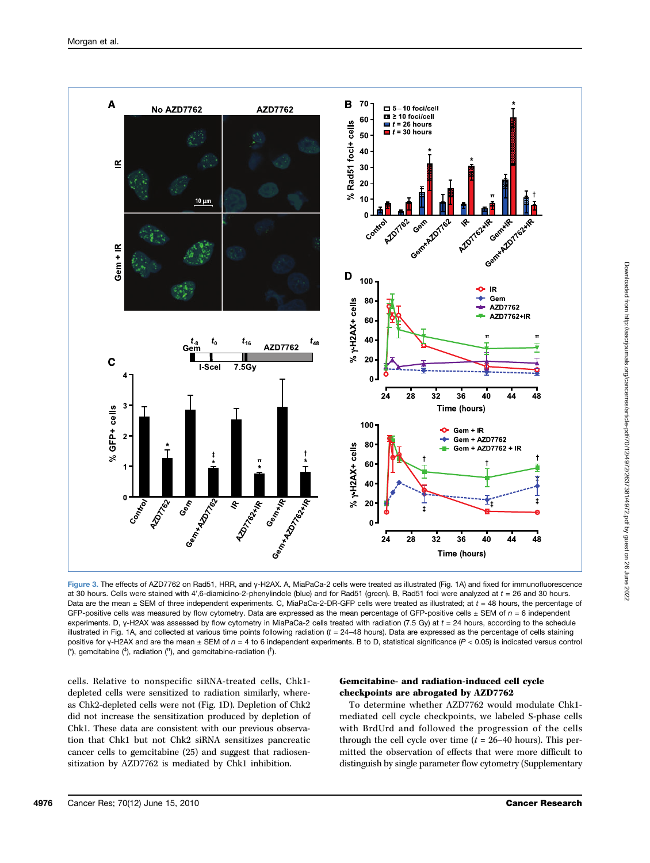

Figure 3. The effects of AZD7762 on Rad51, HRR, and γ-H2AX. A, MiaPaCa-2 cells were treated as illustrated (Fig. 1A) and fixed for immunofluorescence at 30 hours. Cells were stained with 4',6-diamidino-2-phenylindole (blue) and for Rad51 (green). B, Rad51 foci were analyzed at  $t = 26$  and 30 hours. Data are the mean  $\pm$  SEM of three independent experiments. C, MiaPaCa-2-DR-GFP cells were treated as illustrated; at  $t = 48$  hours, the percentage of GFP-positive cells was measured by flow cytometry. Data are expressed as the mean percentage of GFP-positive cells  $\pm$  SEM of  $n = 6$  independent experiments. D, γ-H2AX was assessed by flow cytometry in MiaPaCa-2 cells treated with radiation (7.5 Gy) at  $t = 24$  hours, according to the schedule illustrated in Fig. 1A, and collected at various time points following radiation (t = 24-48 hours). Data are expressed as the percentage of cells staining positive for γ-H2AX and are the mean ± SEM of  $n = 4$  to 6 independent experiments. B to D, statistical significance ( $P < 0.05$ ) is indicated versus control (\*), gemcitabine ( $\dagger$ ), radiation ( $\Box$ ), and gemcitabine-radiation ( $\dagger$ ).

cells. Relative to nonspecific siRNA-treated cells, Chk1 depleted cells were sensitized to radiation similarly, whereas Chk2-depleted cells were not (Fig. 1D). Depletion of Chk2 did not increase the sensitization produced by depletion of Chk1. These data are consistent with our previous observation that Chk1 but not Chk2 siRNA sensitizes pancreatic cancer cells to gemcitabine (25) and suggest that radiosensitization by AZD7762 is mediated by Chk1 inhibition.

## Gemcitabine- and radiation-induced cell cycle checkpoints are abrogated by AZD7762

To determine whether AZD7762 would modulate Chk1 mediated cell cycle checkpoints, we labeled S-phase cells with BrdUrd and followed the progression of the cells through the cell cycle over time  $(t = 26-40$  hours). This permitted the observation of effects that were more difficult to distinguish by single parameter flow cytometry (Supplementary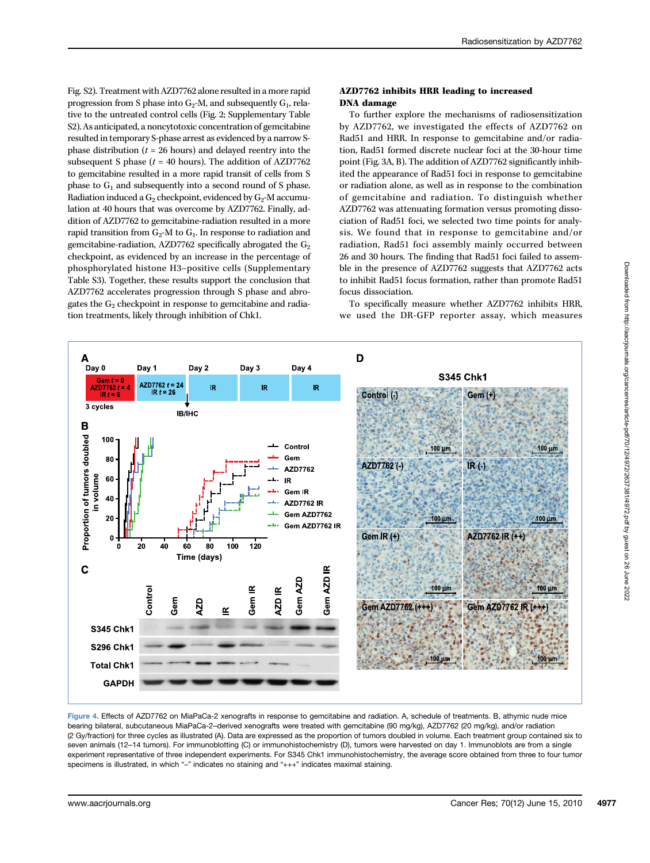Fig. S2). Treatment with AZD7762 alone resulted in a more rapid progression from S phase into  $G_2$ -M, and subsequently  $G_1$ , relative to the untreated control cells (Fig. 2; Supplementary Table S2). As anticipated, a noncytotoxic concentration of gemcitabine resulted in temporary S-phase arrest as evidenced by a narrow Sphase distribution ( $t = 26$  hours) and delayed reentry into the subsequent S phase ( $t = 40$  hours). The addition of AZD7762 to gemcitabine resulted in a more rapid transit of cells from S phase to  $G_1$  and subsequently into a second round of S phase. Radiation induced a  $G_2$  checkpoint, evidenced by  $G_2$ -M accumulation at 40 hours that was overcome by AZD7762. Finally, addition of AZD7762 to gemcitabine-radiation resulted in a more rapid transition from  $G_2$ -M to  $G_1$ . In response to radiation and gemcitabine-radiation, AZD7762 specifically abrogated the  $G_2$ checkpoint, as evidenced by an increase in the percentage of phosphorylated histone H3–positive cells (Supplementary Table S3). Together, these results support the conclusion that AZD7762 accelerates progression through S phase and abrogates the  $G_2$  checkpoint in response to gemcitabine and radiation treatments, likely through inhibition of Chk1.

## AZD7762 inhibits HRR leading to increased DNA damage

To further explore the mechanisms of radiosensitization by AZD7762, we investigated the effects of AZD7762 on Rad51 and HRR. In response to gemcitabine and/or radiation, Rad51 formed discrete nuclear foci at the 30-hour time point (Fig. 3A, B). The addition of AZD7762 significantly inhibited the appearance of Rad51 foci in response to gemcitabine or radiation alone, as well as in response to the combination of gemcitabine and radiation. To distinguish whether AZD7762 was attenuating formation versus promoting dissociation of Rad51 foci, we selected two time points for analysis. We found that in response to gemcitabine and/or radiation, Rad51 foci assembly mainly occurred between 26 and 30 hours. The finding that Rad51 foci failed to assemble in the presence of AZD7762 suggests that AZD7762 acts to inhibit Rad51 focus formation, rather than promote Rad51 focus dissociation.

To specifically measure whether AZD7762 inhibits HRR, we used the DR-GFP reporter assay, which measures



Figure 4. Effects of AZD7762 on MiaPaCa-2 xenografts in response to gemcitabine and radiation. A, schedule of treatments. B, athymic nude mice bearing bilateral, subcutaneous MiaPaCa-2–derived xenografts were treated with gemcitabine (90 mg/kg), AZD7762 (20 mg/kg), and/or radiation (2 Gy/fraction) for three cycles as illustrated (A). Data are expressed as the proportion of tumors doubled in volume. Each treatment group contained six to seven animals (12–14 tumors). For immunoblotting (C) or immunohistochemistry (D), tumors were harvested on day 1. Immunoblots are from a single experiment representative of three independent experiments. For S345 Chk1 immunohistochemistry, the average score obtained from three to four tumor specimens is illustrated, in which "-" indicates no staining and "+++" indicates maximal staining.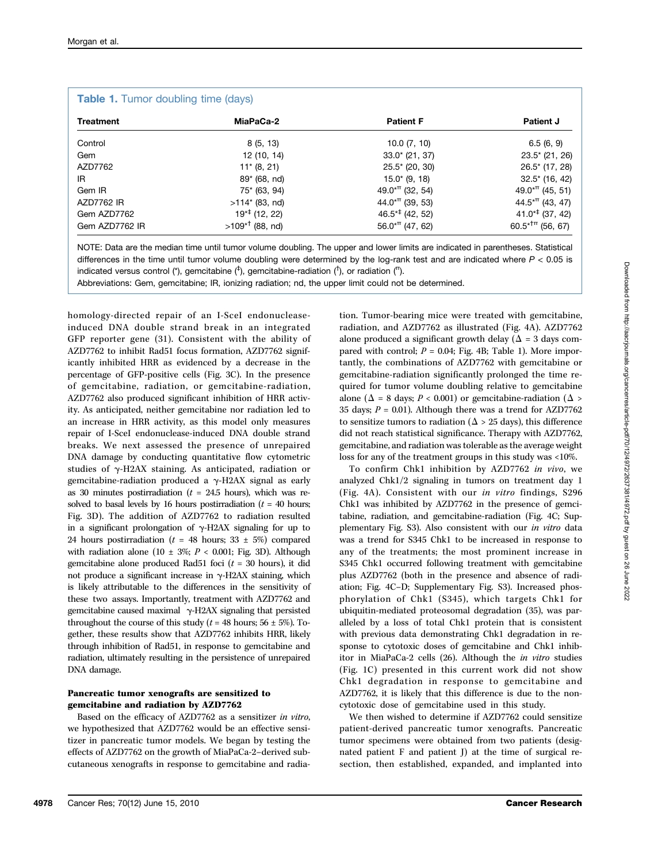| <b>Treatment</b>  | MiaPaCa-2                    | <b>Patient F</b>     | <b>Patient J</b>              |
|-------------------|------------------------------|----------------------|-------------------------------|
| Control           | 8(5, 13)                     | 10.0(7, 10)          | 6.5(6, 9)                     |
| Gem               | 12 (10, 14)                  | $33.0^{*}$ (21, 37)  | $23.5^*$ (21, 26)             |
| AZD7762           | $11^* (8, 21)$               | $25.5^*$ (20, 30)    | $26.5^*$ (17, 28)             |
| IR.               | $89* (68, nd)$               | $15.0^*$ (9, 18)     | $32.5^*$ (16, 42)             |
| Gem IR            | 75* (63, 94)                 | $49.0^{+T}$ (32, 54) | $49.0^{+T}$ (45, 51)          |
| <b>AZD7762 IR</b> | $>114$ <sup>*</sup> (83, nd) | $44.0^{+T}$ (39, 53) | $44.5^{+T}$ (43, 47)          |
| Gem AZD7762       | $19^{*+}$ (12, 22)           | $46.5^{*}$ (42, 52)  | $41.0^{*}$ (37, 42)           |
| Gem AZD7762 IR    | $>109^{*†}$ (88, nd)         | $56.0^{+T}$ (47, 62) | $60.5*^{\dagger\pi}$ (56, 67) |

# Table 1. Tumor doubling time (days)

NOTE: Data are the median time until tumor volume doubling. The upper and lower limits are indicated in parentheses. Statistical differences in the time until tumor volume doubling were determined by the log-rank test and are indicated where  $P < 0.05$  is indicated versus control (\*), gemcitabine (<sup>‡</sup>), gemcitabine-radiation (<sup>†</sup>), or radiation (<sup>π</sup>).

Abbreviations: Gem, gemcitabine; IR, ionizing radiation; nd, the upper limit could not be determined.

homology-directed repair of an I-SceI endonucleaseinduced DNA double strand break in an integrated GFP reporter gene (31). Consistent with the ability of AZD7762 to inhibit Rad51 focus formation, AZD7762 significantly inhibited HRR as evidenced by a decrease in the percentage of GFP-positive cells (Fig. 3C). In the presence of gemcitabine, radiation, or gemcitabine-radiation, AZD7762 also produced significant inhibition of HRR activity. As anticipated, neither gemcitabine nor radiation led to an increase in HRR activity, as this model only measures repair of I-SceI endonuclease-induced DNA double strand breaks. We next assessed the presence of unrepaired DNA damage by conducting quantitative flow cytometric studies of γ-H2AX staining. As anticipated, radiation or gemcitabine-radiation produced a γ-H2AX signal as early as 30 minutes postirradiation ( $t = 24.5$  hours), which was resolved to basal levels by 16 hours postirradiation ( $t = 40$  hours; Fig. 3D). The addition of AZD7762 to radiation resulted in a significant prolongation of γ-H2AX signaling for up to 24 hours postirradiation ( $t = 48$  hours; 33  $\pm$  5%) compared with radiation alone (10  $\pm$  3%; P < 0.001; Fig. 3D). Although gemcitabine alone produced Rad51 foci ( $t = 30$  hours), it did not produce a significant increase in γ-H2AX staining, which is likely attributable to the differences in the sensitivity of these two assays. Importantly, treatment with AZD7762 and gemcitabine caused maximal γ-H2AX signaling that persisted throughout the course of this study ( $t = 48$  hours; 56  $\pm$  5%). Together, these results show that AZD7762 inhibits HRR, likely through inhibition of Rad51, in response to gemcitabine and radiation, ultimately resulting in the persistence of unrepaired DNA damage.

## Pancreatic tumor xenografts are sensitized to gemcitabine and radiation by AZD7762

Based on the efficacy of AZD7762 as a sensitizer in vitro, we hypothesized that AZD7762 would be an effective sensitizer in pancreatic tumor models. We began by testing the effects of AZD7762 on the growth of MiaPaCa-2–derived subcutaneous xenografts in response to gemcitabine and radia-

tion. Tumor-bearing mice were treated with gemcitabine, radiation, and AZD7762 as illustrated (Fig. 4A). AZD7762 alone produced a significant growth delay ( $\Delta = 3$  days compared with control;  $P = 0.04$ ; Fig. 4B; Table 1). More importantly, the combinations of AZD7762 with gemcitabine or gemcitabine-radiation significantly prolonged the time required for tumor volume doubling relative to gemcitabine alone ( $\Delta$  = 8 days; *P* < 0.001) or gemcitabine-radiation ( $\Delta$  > 35 days;  $P = 0.01$ ). Although there was a trend for AZD7762 to sensitize tumors to radiation ( $\Delta > 25$  days), this difference did not reach statistical significance. Therapy with AZD7762, gemcitabine, and radiation was tolerable as the average weight loss for any of the treatment groups in this study was <10%.

To confirm Chk1 inhibition by AZD7762 in vivo, we analyzed Chk1/2 signaling in tumors on treatment day 1 (Fig. 4A). Consistent with our in vitro findings, S296 Chk1 was inhibited by AZD7762 in the presence of gemcitabine, radiation, and gemcitabine-radiation (Fig. 4C; Supplementary Fig. S3). Also consistent with our in vitro data was a trend for S345 Chk1 to be increased in response to any of the treatments; the most prominent increase in S345 Chk1 occurred following treatment with gemcitabine plus AZD7762 (both in the presence and absence of radiation; Fig. 4C–D; Supplementary Fig. S3). Increased phosphorylation of Chk1 (S345), which targets Chk1 for ubiquitin-mediated proteosomal degradation (35), was paralleled by a loss of total Chk1 protein that is consistent with previous data demonstrating Chk1 degradation in response to cytotoxic doses of gemcitabine and Chk1 inhibitor in MiaPaCa-2 cells (26). Although the in vitro studies (Fig. 1C) presented in this current work did not show Chk1 degradation in response to gemcitabine and AZD7762, it is likely that this difference is due to the noncytotoxic dose of gemcitabine used in this study.

We then wished to determine if AZD7762 could sensitize patient-derived pancreatic tumor xenografts. Pancreatic tumor specimens were obtained from two patients (designated patient F and patient J) at the time of surgical resection, then established, expanded, and implanted into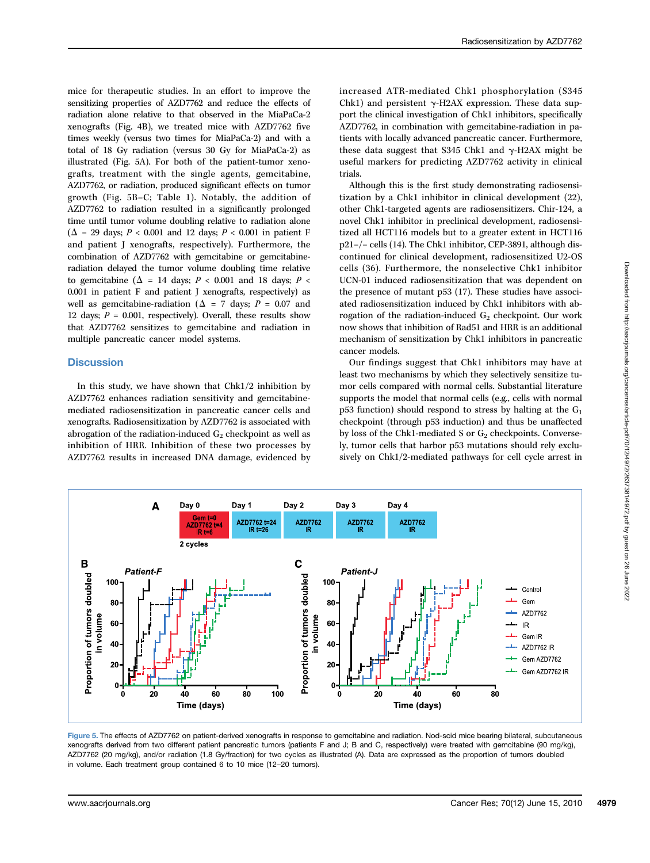mice for therapeutic studies. In an effort to improve the sensitizing properties of AZD7762 and reduce the effects of radiation alone relative to that observed in the MiaPaCa-2 xenografts (Fig. 4B), we treated mice with AZD7762 five times weekly (versus two times for MiaPaCa-2) and with a total of 18 Gy radiation (versus 30 Gy for MiaPaCa-2) as illustrated (Fig. 5A). For both of the patient-tumor xenografts, treatment with the single agents, gemcitabine, AZD7762, or radiation, produced significant effects on tumor growth (Fig. 5B–C; Table 1). Notably, the addition of AZD7762 to radiation resulted in a significantly prolonged time until tumor volume doubling relative to radiation alone  $(\Delta = 29 \text{ days}; P < 0.001 \text{ and } 12 \text{ days}; P < 0.001 \text{ in patient F})$ and patient J xenografts, respectively). Furthermore, the combination of AZD7762 with gemcitabine or gemcitabineradiation delayed the tumor volume doubling time relative to gemcitabine ( $\Delta$  = 14 days;  $P < 0.001$  and 18 days;  $P <$ 0.001 in patient F and patient J xenografts, respectively) as well as gemcitabine-radiation ( $\Delta$  = 7 days; P = 0.07 and 12 days;  $P = 0.001$ , respectively). Overall, these results show that AZD7762 sensitizes to gemcitabine and radiation in multiple pancreatic cancer model systems.

## **Discussion**

In this study, we have shown that Chk1/2 inhibition by AZD7762 enhances radiation sensitivity and gemcitabinemediated radiosensitization in pancreatic cancer cells and xenografts. Radiosensitization by AZD7762 is associated with abrogation of the radiation-induced  $G_2$  checkpoint as well as inhibition of HRR. Inhibition of these two processes by AZD7762 results in increased DNA damage, evidenced by

increased ATR-mediated Chk1 phosphorylation (S345 Chk1) and persistent γ-H2AX expression. These data support the clinical investigation of Chk1 inhibitors, specifically AZD7762, in combination with gemcitabine-radiation in patients with locally advanced pancreatic cancer. Furthermore, these data suggest that S345 Chk1 and  $\gamma$ -H2AX might be useful markers for predicting AZD7762 activity in clinical trials.

Although this is the first study demonstrating radiosensitization by a Chk1 inhibitor in clinical development (22), other Chk1-targeted agents are radiosensitizers. Chir-124, a novel Chk1 inhibitor in preclinical development, radiosensitized all HCT116 models but to a greater extent in HCT116 p21−/− cells (14). The Chk1 inhibitor, CEP-3891, although discontinued for clinical development, radiosensitized U2-OS cells (36). Furthermore, the nonselective Chk1 inhibitor UCN-01 induced radiosensitization that was dependent on the presence of mutant p53 (17). These studies have associated radiosensitization induced by Chk1 inhibitors with abrogation of the radiation-induced G<sub>2</sub> checkpoint. Our work now shows that inhibition of Rad51 and HRR is an additional mechanism of sensitization by Chk1 inhibitors in pancreatic cancer models.

Our findings suggest that Chk1 inhibitors may have at least two mechanisms by which they selectively sensitize tumor cells compared with normal cells. Substantial literature supports the model that normal cells (e.g., cells with normal  $p53$  function) should respond to stress by halting at the  $G_1$ checkpoint (through p53 induction) and thus be unaffected by loss of the Chk1-mediated S or  $G_2$  checkpoints. Conversely, tumor cells that harbor p53 mutations should rely exclusively on Chk1/2-mediated pathways for cell cycle arrest in



Figure 5. The effects of AZD7762 on patient-derived xenografts in response to gemcitabine and radiation. Nod-scid mice bearing bilateral, subcutaneous xenografts derived from two different patient pancreatic tumors (patients F and J; B and C, respectively) were treated with gemcitabine (90 mg/kg), AZD7762 (20 mg/kg), and/or radiation (1.8 Gy/fraction) for two cycles as illustrated (A). Data are expressed as the proportion of tumors doubled in volume. Each treatment group contained 6 to 10 mice (12–20 tumors).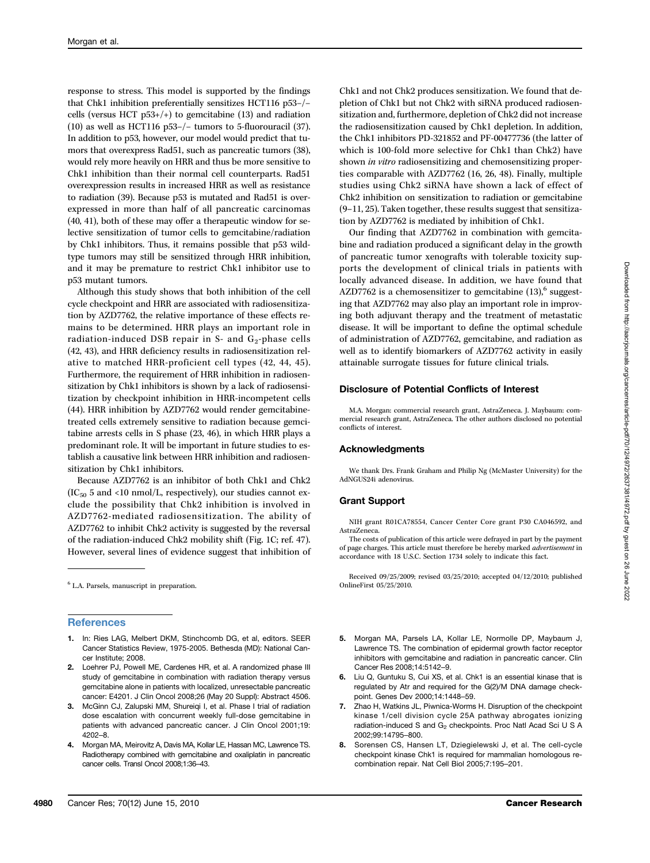response to stress. This model is supported by the findings that Chk1 inhibition preferentially sensitizes HCT116 p53−/− cells (versus HCT  $p53+/+)$  to gemcitabine (13) and radiation (10) as well as HCT116 p53−/− tumors to 5-fluorouracil (37). In addition to p53, however, our model would predict that tumors that overexpress Rad51, such as pancreatic tumors (38), would rely more heavily on HRR and thus be more sensitive to Chk1 inhibition than their normal cell counterparts. Rad51 overexpression results in increased HRR as well as resistance to radiation (39). Because p53 is mutated and Rad51 is overexpressed in more than half of all pancreatic carcinomas (40, 41), both of these may offer a therapeutic window for selective sensitization of tumor cells to gemcitabine/radiation by Chk1 inhibitors. Thus, it remains possible that p53 wildtype tumors may still be sensitized through HRR inhibition, and it may be premature to restrict Chk1 inhibitor use to p53 mutant tumors.

Although this study shows that both inhibition of the cell cycle checkpoint and HRR are associated with radiosensitization by AZD7762, the relative importance of these effects remains to be determined. HRR plays an important role in radiation-induced DSB repair in S- and  $G_2$ -phase cells (42, 43), and HRR deficiency results in radiosensitization relative to matched HRR-proficient cell types (42, 44, 45). Furthermore, the requirement of HRR inhibition in radiosensitization by Chk1 inhibitors is shown by a lack of radiosensitization by checkpoint inhibition in HRR-incompetent cells (44). HRR inhibition by AZD7762 would render gemcitabinetreated cells extremely sensitive to radiation because gemcitabine arrests cells in S phase (23, 46), in which HRR plays a predominant role. It will be important in future studies to establish a causative link between HRR inhibition and radiosensitization by Chk1 inhibitors.

Because AZD7762 is an inhibitor of both Chk1 and Chk2  $(IC_{50} 5$  and <10 nmol/L, respectively), our studies cannot exclude the possibility that Chk2 inhibition is involved in AZD7762-mediated radiosensitization. The ability of AZD7762 to inhibit Chk2 activity is suggested by the reversal of the radiation-induced Chk2 mobility shift (Fig. 1C; ref. 47). However, several lines of evidence suggest that inhibition of

<sup>6</sup> L.A. Parsels, manuscript in preparation.

## **References**

- 1. In: Ries LAG, Melbert DKM, Stinchcomb DG, et al, editors. SEER Cancer Statistics Review, 1975-2005. Bethesda (MD): National Cancer Institute; 2008.
- 2. Loehrer PJ, Powell ME, Cardenes HR, et al. A randomized phase III study of gemcitabine in combination with radiation therapy versus gemcitabine alone in patients with localized, unresectable pancreatic cancer: E4201. J Clin Oncol 2008;26 (May 20 Suppl): Abstract 4506.
- 3. McGinn CJ, Zalupski MM, Shureiqi I, et al. Phase I trial of radiation dose escalation with concurrent weekly full-dose gemcitabine in patients with advanced pancreatic cancer. J Clin Oncol 2001;19: 4202–8.
- 4. Morgan MA, Meirovitz A, Davis MA, Kollar LE, Hassan MC, Lawrence TS. Radiotherapy combined with gemcitabine and oxaliplatin in pancreatic cancer cells. Transl Oncol 2008;1:36–43.

Chk1 and not Chk2 produces sensitization. We found that depletion of Chk1 but not Chk2 with siRNA produced radiosensitization and, furthermore, depletion of Chk2 did not increase the radiosensitization caused by Chk1 depletion. In addition, the Chk1 inhibitors PD-321852 and PF-00477736 (the latter of which is 100-fold more selective for Chk1 than Chk2) have shown in vitro radiosensitizing and chemosensitizing properties comparable with AZD7762 (16, 26, 48). Finally, multiple studies using Chk2 siRNA have shown a lack of effect of Chk2 inhibition on sensitization to radiation or gemcitabine (9–11, 25). Taken together, these results suggest that sensitization by AZD7762 is mediated by inhibition of Chk1.

Our finding that AZD7762 in combination with gemcitabine and radiation produced a significant delay in the growth of pancreatic tumor xenografts with tolerable toxicity supports the development of clinical trials in patients with locally advanced disease. In addition, we have found that AZD7762 is a chemosensitizer to gemcitabine  $(13)$ <sup>6</sup> suggesting that AZD7762 may also play an important role in improving both adjuvant therapy and the treatment of metastatic disease. It will be important to define the optimal schedule of administration of AZD7762, gemcitabine, and radiation as well as to identify biomarkers of AZD7762 activity in easily attainable surrogate tissues for future clinical trials.

## Disclosure of Potential Conflicts of Interest

M.A. Morgan: commercial research grant, AstraZeneca. J. Maybaum: commercial research grant, AstraZeneca. The other authors disclosed no potential conflicts of interest.

#### Acknowledgments

We thank Drs. Frank Graham and Philip Ng (McMaster University) for the AdNGUS24i adenovirus.

## Grant Support

NIH grant R01CA78554, Cancer Center Core grant P30 CA046592, and AstraZeneca.

The costs of publication of this article were defrayed in part by the payment of page charges. This article must therefore be hereby marked advertisement in accordance with 18 U.S.C. Section 1734 solely to indicate this fact.

Received 09/25/2009; revised 03/25/2010; accepted 04/12/2010; published OnlineFirst 05/25/2010.

- 5. Morgan MA, Parsels LA, Kollar LE, Normolle DP, Maybaum J, Lawrence TS. The combination of epidermal growth factor receptor inhibitors with gemcitabine and radiation in pancreatic cancer. Clin Cancer Res 2008;14:5142–9.
- 6. Liu Q, Guntuku S, Cui XS, et al. Chk1 is an essential kinase that is regulated by Atr and required for the G(2)/M DNA damage checkpoint. Genes Dev 2000;14:1448–59.
- 7. Zhao H, Watkins JL, Piwnica-Worms H. Disruption of the checkpoint kinase 1/cell division cycle 25A pathway abrogates ionizing radiation-induced S and  $G_2$  checkpoints. Proc Natl Acad Sci U S A 2002;99:14795–800.
- 8. Sorensen CS, Hansen LT, Dziegielewski J, et al. The cell-cycle checkpoint kinase Chk1 is required for mammalian homologous recombination repair. Nat Cell Biol 2005;7:195–201.